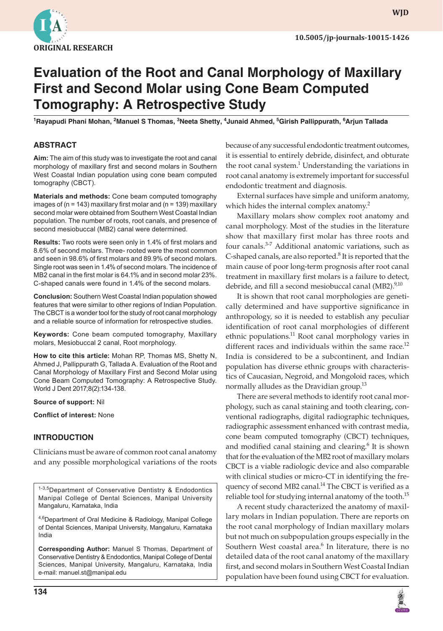

# **Evaluation of the Root and Canal Morphology of Maxillary First and Second Molar using Cone Beam Computed Tomography: A Retrospective Study**

**1 Rayapudi Phani Mohan, 2 Manuel S Thomas, 3 Neeta Shetty, <sup>4</sup> Junaid Ahmed, 5 Girish Pallippurath, 6 Arjun Tallada**

## **ABSTRACT**

**Aim:** The aim of this study was to investigate the root and canal morphology of maxillary first and second molars in Southern West Coastal Indian population using cone beam computed tomography (CBCT).

**Materials and methods:** Cone beam computed tomography images of ( $n = 143$ ) maxillary first molar and ( $n = 139$ ) maxillary second molar were obtained from Southern West Coastal Indian population. The number of roots, root canals, and presence of second mesiobuccal (MB2) canal were determined.

**Results:** Two roots were seen only in 1.4% of first molars and 8.6% of second molars. Three- rooted were the most common and seen in 98.6% of first molars and 89.9% of second molars. Single root was seen in 1.4% of second molars. The incidence of MB2 canal in the first molar is 64.1% and in second molar 23%. C-shaped canals were found in 1.4% of the second molars.

**Conclusion:** Southern West Coastal Indian population showed features that were similar to other regions of Indian Population. The CBCT is a wonder tool for the study of root canal morphology and a reliable source of information for retrospective studies.

**Keywords:** Cone beam computed tomography, Maxillary molars, Mesiobuccal 2 canal, Root morphology.

**How to cite this article:** Mohan RP, Thomas MS, Shetty N, Ahmed J, Pallippurath G, Tallada A. Evaluation of the Root and Canal Morphology of Maxillary First and Second Molar using Cone Beam Computed Tomography: A Retrospective Study. World J Dent 2017;8(2):134-138.

**Source of support:** Nil

**Conflict of interest:** None

# **INTRODUCTION**

Clinicians must be aware of common root canal anatomy and any possible morphological variations of the roots

1-3,5Department of Conservative Dentistry & Endodontics Manipal College of Dental Sciences, Manipal University Mangaluru, Karnataka, India

4,6 Department of Oral Medicine & Radiology, Manipal College of Dental Sciences, Manipal University, Mangaluru, Karnataka India

**Corresponding Author:** Manuel S Thomas, Department of Conservative Dentistry & Endodontics, Manipal College of Dental Sciences, Manipal University, Mangaluru, Karnataka, India e-mail: manuel.st@manipal.edu

because of any successful endodontic treatment outcomes, it is essential to entirely debride, disinfect, and obturate the root canal system. $1$  Understanding the variations in root canal anatomy is extremely important for successful endodontic treatment and diagnosis.

External surfaces have simple and uniform anatomy, which hides the internal complex anatomy.<sup>2</sup>

Maxillary molars show complex root anatomy and canal morphology. Most of the studies in the literature show that maxillary first molar has three roots and four canals.3-7 Additional anatomic variations, such as C-shaped canals, are also reported.<sup>8</sup> It is reported that the main cause of poor long-term prognosis after root canal treatment in maxillary first molars is a failure to detect, debride, and fill a second mesiobuccal canal (MB2).<sup>9,10</sup>

It is shown that root canal morphologies are genetically determined and have supportive significance in anthropology, so it is needed to establish any peculiar identification of root canal morphologies of different ethnic populations. $11$  Root canal morphology varies in different races and individuals within the same race. $^{12}$ India is considered to be a subcontinent, and Indian population has diverse ethnic groups with characteristics of Caucasian, Negroid, and Mongoloid races, which normally alludes as the Dravidian group.<sup>13</sup>

There are several methods to identify root canal morphology, such as canal staining and tooth clearing, conventional radiographs, digital radiographic techniques, radiographic assessment enhanced with contrast media, cone beam computed tomography (CBCT) techniques, and modified canal staining and clearing.<sup>6</sup> It is shown that for the evaluation of the MB2 root of maxillary molars CBCT is a viable radiologic device and also comparable with clinical studies or micro-CT in identifying the frequency of second MB2 canal.<sup>14</sup> The CBCT is verified as a reliable tool for studying internal anatomy of the tooth.<sup>15</sup>

A recent study characterized the anatomy of maxillary molars in Indian population. There are reports on the root canal morphology of Indian maxillary molars but not much on subpopulation groups especially in the Southern West coastal area.<sup>6</sup> In literature, there is no detailed data of the root canal anatomy of the maxillary first, and second molars in Southern West Coastal Indian population have been found using CBCT for evaluation.

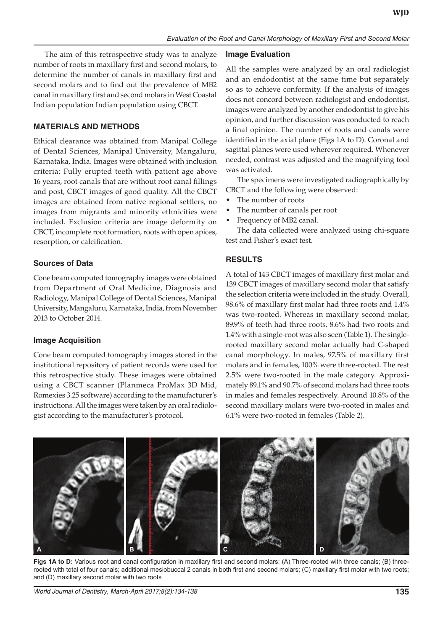The aim of this retrospective study was to analyze number of roots in maxillary first and second molars, to determine the number of canals in maxillary first and second molars and to find out the prevalence of MB2 canal in maxillary first and second molars in West Coastal Indian population Indian population using CBCT.

## **MATERIALS AND METHODS**

Ethical clearance was obtained from Manipal College of Dental Sciences, Manipal University, Mangaluru, Karnataka, India. Images were obtained with inclusion criteria: Fully erupted teeth with patient age above 16 years, root canals that are without root canal fillings and post, CBCT images of good quality. All the CBCT images are obtained from native regional settlers, no images from migrants and minority ethnicities were included. Exclusion criteria are image deformity on CBCT, incomplete root formation, roots with open apices, resorption, or calcification.

## **Sources of Data**

Cone beam computed tomography images were obtained from Department of Oral Medicine, Diagnosis and Radiology, Manipal College of Dental Sciences, Manipal University, Mangaluru, Karnataka, India, from November 2013 to October 2014.

#### **Image Acquisition**

Cone beam computed tomography images stored in the institutional repository of patient records were used for this retrospective study. These images were obtained using a CBCT scanner (Planmeca ProMax 3D Mid, Romexies 3.25 software) according to the manufacturer's instructions. All the images were taken by an oral radiologist according to the manufacturer's protocol.

## **Image Evaluation**

All the samples were analyzed by an oral radiologist and an endodontist at the same time but separately so as to achieve conformity. If the analysis of images does not concord between radiologist and endodontist, images were analyzed by another endodontist to give his opinion, and further discussion was conducted to reach a final opinion. The number of roots and canals were identified in the axial plane (Figs 1A to D). Coronal and sagittal planes were used wherever required. Whenever needed, contrast was adjusted and the magnifying tool was activated.

The specimens were investigated radiographically by CBCT and the following were observed:

- The number of roots
- The number of canals per root
- Frequency of MB2 canal.

The data collected were analyzed using chi-square test and Fisher's exact test.

## **RESULTS**

A total of 143 CBCT images of maxillary first molar and 139 CBCT images of maxillary second molar that satisfy the selection criteria were included in the study. Overall, 98.6% of maxillary first molar had three roots and 1.4% was two-rooted. Whereas in maxillary second molar, 89.9% of teeth had three roots, 8.6% had two roots and 1.4% with a single-root was also seen (Table 1). The singlerooted maxillary second molar actually had C-shaped canal morphology. In males, 97.5% of maxillary first molars and in females, 100% were three-rooted. The rest 2.5% were two-rooted in the male category. Approximately 89.1% and 90.7% of second molars had three roots in males and females respectively. Around 10.8% of the second maxillary molars were two-rooted in males and 6.1% were two-rooted in females (Table 2).



**Figs 1A to D:** Various root and canal configuration in maxillary first and second molars: (A) Three-rooted with three canals; (B) threerooted with total of four canals; additional mesiobuccal 2 canals in both first and second molars; (C) maxillary first molar with two roots; and (D) maxillary second molar with two roots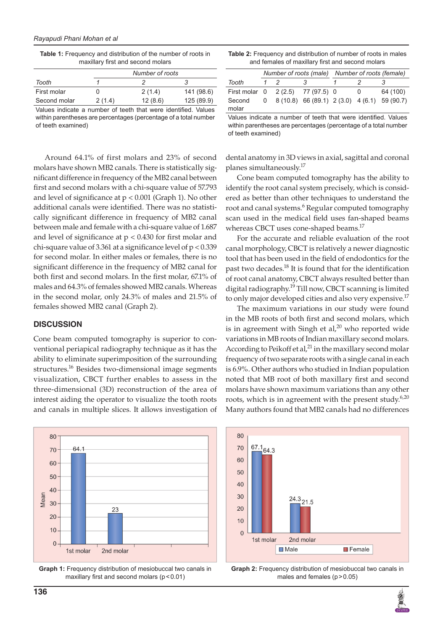**Table 1:** Frequency and distribution of the number of roots in maxillary first and second molars

|                                                               |        | Number of roots |            |
|---------------------------------------------------------------|--------|-----------------|------------|
| Tooth                                                         |        |                 |            |
| First molar                                                   |        | 2(1.4)          | 141 (98.6) |
| Second molar                                                  | 2(1.4) | 12(8.6)         | 125 (89.9) |
| Values indicate a number of teeth that were identified Values |        |                 |            |

Values indicate a number of teeth that were identified. Values within parentheses are percentages (percentage of a total number of teeth examined)

Around 64.1% of first molars and 23% of second molars have shown MB2 canals. There is statistically significant difference in frequency of the MB2 canal between first and second molars with a chi-square value of 57.793 and level of significance at p < 0.001 (Graph 1). No other additional canals were identified. There was no statistically significant difference in frequency of MB2 canal between male and female with a chi-square value of 1.687 and level of significance at  $p < 0.430$  for first molar and chi-square value of 3.361 at a significance level of p < 0.339 for second molar. In either males or females, there is no significant difference in the frequency of MB2 canal for both first and second molars. In the first molar, 67.1% of males and 64.3% of females showed MB2 canals. Whereas in the second molar, only 24.3% of males and 21.5% of females showed MB2 canal (Graph 2).

#### **DISCUSSION**

Cone beam computed tomography is superior to conventional periapical radiography technique as it has the ability to eliminate superimposition of the surrounding structures.<sup>16</sup> Besides two-dimensional image segments visualization, CBCT further enables to assess in the three-dimensional (3D) reconstruction of the area of interest aiding the operator to visualize the tooth roots and canals in multiple slices. It allows investigation of



**Graph 1:** Frequency distribution of mesiobuccal two canals in maxillary first and second molars  $(p < 0.01)$ 

| <b>Table 2:</b> Frequency and distribution of number of roots in males |
|------------------------------------------------------------------------|
| and females of maxillary first and second molars                       |

|                                   |          |  |                                                  | Number of roots (male) Number of roots (female) |      |          |
|-----------------------------------|----------|--|--------------------------------------------------|-------------------------------------------------|------|----------|
| Tooth                             | $1\quad$ |  | 3                                                |                                                 |      |          |
| First molar 0 2 (2.5) 77 (97.5) 0 |          |  |                                                  |                                                 | - () | 64 (100) |
| Second<br>molar                   |          |  | $0$ 8 (10.8) 66 (89.1) 2 (3.0) 4 (6.1) 59 (90.7) |                                                 |      |          |

Values indicate a number of teeth that were identified. Values within parentheses are percentages (percentage of a total number of teeth examined)

dental anatomy in 3D views in axial, sagittal and coronal planes simultaneously.<sup>17</sup>

Cone beam computed tomography has the ability to identify the root canal system precisely, which is considered as better than other techniques to understand the root and canal systems.<sup>6</sup> Regular computed tomography scan used in the medical field uses fan-shaped beams whereas CBCT uses cone-shaped beams.<sup>17</sup>

For the accurate and reliable evaluation of the root canal morphology, CBCT is relatively a newer diagnostic tool that has been used in the field of endodontics for the past two decades.<sup>18</sup> It is found that for the identification of root canal anatomy, CBCT always resulted better than digital radiography.<sup>19</sup> Till now, CBCT scanning is limited to only major developed cities and also very expensive.<sup>17</sup>

The maximum variations in our study were found in the MB roots of both first and second molars, which is in agreement with Singh et al, $^{20}$  who reported wide variations in MB roots of Indian maxillary second molars. According to Peikoff et al, $^{21}$  in the maxillary second molar frequency of two separate roots with a single canal in each is 6.9%. Other authors who studied in Indian population noted that MB root of both maxillary first and second molars have shown maximum variations than any other roots, which is in agreement with the present study. $6,20$ Many authors found that MB2 canals had no differences



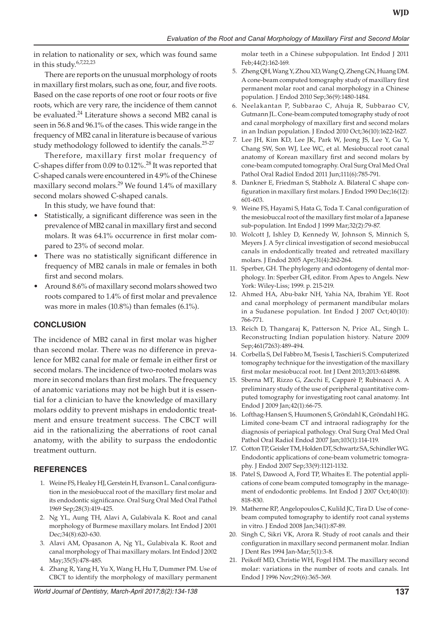in relation to nationality or sex, which was found same in this study.6,7,22,23

There are reports on the unusual morphology of roots in maxillary first molars, such as one, four, and five roots. Based on the case reports of one root or four roots or five roots, which are very rare, the incidence of them cannot be evaluated.<sup>24</sup> Literature shows a second MB2 canal is seen in 56.8 and 96.1% of the cases. This wide range in the frequency of MB2 canal in literature is because of various study methodology followed to identify the canals.<sup>25-27</sup>

Therefore, maxillary first molar frequency of C-shapes differ from 0.09 to 0.12%.<sup>28</sup> It was reported that C-shaped canals were encountered in 4.9% of the Chinese maxillary second molars.<sup>29</sup> We found 1.4% of maxillary second molars showed C-shaped canals.

In this study, we have found that:

- Statistically, a significant difference was seen in the prevalence of MB2 canal in maxillary first and second molars. It was 64.1% occurrence in first molar compared to 23% of second molar.
- There was no statistically significant difference in frequency of MB2 canals in male or females in both first and second molars.
- Around 8.6% of maxillary second molars showed two roots compared to 1.4% of first molar and prevalence was more in males (10.8%) than females (6.1%).

# **CONCLUSION**

The incidence of MB2 canal in first molar was higher than second molar. There was no difference in prevalence for MB2 canal for male or female in either first or second molars. The incidence of two-rooted molars was more in second molars than first molars. The frequency of anatomic variations may not be high but it is essential for a clinician to have the knowledge of maxillary molars oddity to prevent mishaps in endodontic treatment and ensure treatment success. The CBCT will aid in the rationalizing the aberrations of root canal anatomy, with the ability to surpass the endodontic treatment outturn.

# **REFERENCES**

- 1. Weine FS, Healey HJ, Gerstein H, Evanson L. Canal configuration in the mesiobuccal root of the maxillary first molar and its endodontic significance. Oral Surg Oral Med Oral Pathol 1969 Sep;28(3):419-425.
- 2. Ng YL, Aung TH, Alavi A, Gulabivala K. Root and canal morphology of Burmese maxillary molars. Int Endod J 2001 Dec;34(8):620-630.
- 3. Alavi AM, Opasanon A, Ng YL, Gulabivala K. Root and canal morphology of Thai maxillary molars. Int Endod J 2002 May;35(5):478-485.
- 4. Zhang R, Yang H, Yu X, Wang H, Hu T, Dummer PM. Use of CBCT to identify the morphology of maxillary permanent

molar teeth in a Chinese subpopulation. Int Endod J 2011 Feb;44(2):162-169.

- 5. Zheng QH, Wang Y, Zhou XD, Wang Q, Zheng GN, Huang DM. A cone-beam computed tomography study of maxillary first permanent molar root and canal morphology in a Chinese population. J Endod 2010 Sep;36(9):1480-1484.
- 6. Neelakantan P, Subbarao C, Ahuja R, Subbarao CV, Gutmann JL. Cone-beam computed tomography study of root and canal morphology of maxillary first and second molars in an Indian population. J Endod 2010 Oct;36(10):1622-1627.
- 7. Lee JH, Kim KD, Lee JK, Park W, Jeong JS, Lee Y, Gu Y, Chang SW, Son WJ, Lee WC, et al. Mesiobuccal root canal anatomy of Korean maxillary first and second molars by cone-beam computed tomography. Oral Surg Oral Med Oral Pathol Oral Radiol Endod 2011 Jun;111(6):785-791.
- 8. Dankner E, Friedman S, Stabholz A. Bilateral C shape configuration in maxillary first molars. J Endod 1990 Dec;16(12): 601-603.
- 9. Weine FS, Hayami S, Hata G, Toda T. Canal configuration of the mesiobuccal root of the maxillary first molar of a Japanese sub-population. Int Endod J 1999 Mar;32(2):79-87.
- 10. Wolcott J, Ishley D, Kennedy W, Johnson S, Minnich S, Meyers J. A 5yr clinical investigation of second mesiobuccal canals in endodontically treated and retreated maxillary molars. J Endod 2005 Apr;31(4):262-264.
- 11. Sperber, GH. The phylogeny and odontogeny of dental morphology. In: Sperber GH, editor. From Apes to Angels. New York: Wiley-Liss; 1999. p. 215-219.
- 12. Ahmed HA, Abu-bakr NH, Yahia NA, Ibrahim YE. Root and canal morphology of permanent mandibular molars in a Sudanese population. Int Endod J 2007 Oct;40(10): 766-771.
- 13. Reich D, Thangaraj K, Patterson N, Price AL, Singh L. Reconstructing Indian population history. Nature 2009 Sep;461(7263):489-494.
- 14. Corbella S, Del Fabbro M, Tsesis I, Taschieri S. Computerized tomography technique for the investigation of the maxillary first molar mesiobuccal root. Int J Dent 2013;2013:614898.
- 15. Sberna MT, Rizzo G, Zacchi E, Capparè P, Rubinacci A. A preliminary study of the use of peripheral quantitative computed tomography for investigating root canal anatomy. Int Endod J 2009 Jan;42(1):66-75.
- 16. Lofthag-Hansen S, Huumonen S, Gröndahl K, Gröndahl HG. Limited cone-beam CT and intraoral radiography for the diagnosis of periapical pathology. Oral Surg Oral Med Oral Pathol Oral Radiol Endod 2007 Jan;103(1):114-119.
- 17. Cotton TP, Geisler TM, Holden DT, Schwartz SA, Schindler WG. Endodontic applications of cone-beam volumetric tomography. J Endod 2007 Sep;33(9):1121-1132.
- 18. Patel S, Dawood A, Ford TP, Whaites E. The potential applications of cone beam computed tomography in the management of endodontic problems. Int Endod J 2007 Oct;40(10): 818-830.
- 19. Matherne RP, Angelopoulos C, Kulild JC, Tira D. Use of conebeam computed tomography to identify root canal systems in vitro. J Endod 2008 Jan;34(1):87-89.
- 20. Singh C, Sikri VK, Arora R. Study of root canals and their configuration in maxillary second permanent molar. Indian J Dent Res 1994 Jan-Mar;5(1):3-8.
- 21. Peikoff MD, Christie WH, Fogel HM. The maxillary second molar: variations in the number of roots and canals. Int Endod J 1996 Nov;29(6):365-369.